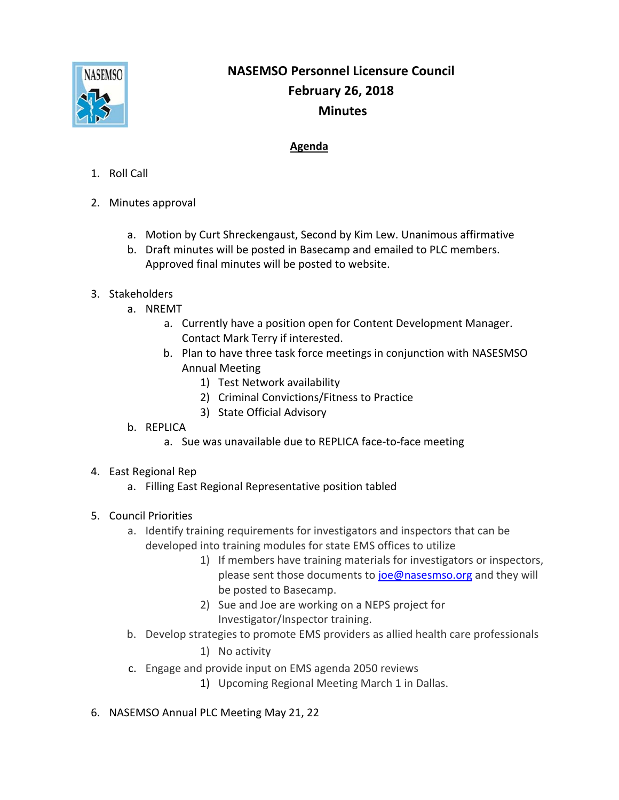

## **NASEMSO Personnel Licensure Council February 26, 2018 Minutes**

## **Agenda**

- 1. Roll Call
- 2. Minutes approval
	- a. Motion by Curt Shreckengaust, Second by Kim Lew. Unanimous affirmative
	- b. Draft minutes will be posted in Basecamp and emailed to PLC members. Approved final minutes will be posted to website.
- 3. Stakeholders
	- a. NREMT
		- a. Currently have a position open for Content Development Manager. Contact Mark Terry if interested.
		- b. Plan to have three task force meetings in conjunction with NASESMSO Annual Meeting
			- 1) Test Network availability
			- 2) Criminal Convictions/Fitness to Practice
			- 3) State Official Advisory
	- b. REPLICA
		- a. Sue was unavailable due to REPLICA face‐to‐face meeting

## 4. East Regional Rep

a. Filling East Regional Representative position tabled

## 5. Council Priorities

- a. Identify training requirements for investigators and inspectors that can be developed into training modules for state EMS offices to utilize
	- 1) If members have training materials for investigators or inspectors, please sent those documents to joe@nasesmso.org and they will be posted to Basecamp.
	- 2) Sue and Joe are working on a NEPS project for Investigator/Inspector training.
- b. Develop strategies to promote EMS providers as allied health care professionals
	- 1) No activity
- c. Engage and provide input on EMS agenda 2050 reviews
	- 1) Upcoming Regional Meeting March 1 in Dallas.
- 6. NASEMSO Annual PLC Meeting May 21, 22